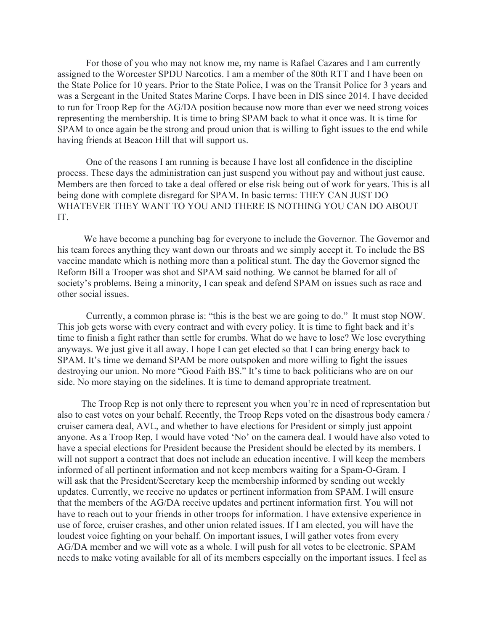For those of you who may not know me, my name is Rafael Cazares and I am currently assigned to the Worcester SPDU Narcotics. I am a member of the 80th RTT and I have been on the State Police for 10 years. Prior to the State Police, I was on the Transit Police for 3 years and was a Sergeant in the United States Marine Corps. I have been in DIS since 2014. I have decided to run for Troop Rep for the AG/DA position because now more than ever we need strong voices representing the membership. It is time to bring SPAM back to what it once was. It is time for SPAM to once again be the strong and proud union that is willing to fight issues to the end while having friends at Beacon Hill that will support us.

One of the reasons I am running is because I have lost all confidence in the discipline process. These days the administration can just suspend you without pay and without just cause. Members are then forced to take a deal offered or else risk being out of work for years. This is all being done with complete disregard for SPAM. In basic terms: THEY CAN JUST DO WHATEVER THEY WANT TO YOU AND THERE IS NOTHING YOU CAN DO ABOUT IT.

 We have become a punching bag for everyone to include the Governor. The Governor and his team forces anything they want down our throats and we simply accept it. To include the BS vaccine mandate which is nothing more than a political stunt. The day the Governor signed the Reform Bill a Trooper was shot and SPAM said nothing. We cannot be blamed for all of society's problems. Being a minority, I can speak and defend SPAM on issues such as race and other social issues.

 Currently, a common phrase is: "this is the best we are going to do." It must stop NOW. This job gets worse with every contract and with every policy. It is time to fight back and it's time to finish a fight rather than settle for crumbs. What do we have to lose? We lose everything anyways. We just give it all away. I hope I can get elected so that I can bring energy back to SPAM. It's time we demand SPAM be more outspoken and more willing to fight the issues destroying our union. No more "Good Faith BS." It's time to back politicians who are on our side. No more staying on the sidelines. It is time to demand appropriate treatment.

 The Troop Rep is not only there to represent you when you're in need of representation but also to cast votes on your behalf. Recently, the Troop Reps voted on the disastrous body camera / cruiser camera deal, AVL, and whether to have elections for President or simply just appoint anyone. As a Troop Rep, I would have voted 'No' on the camera deal. I would have also voted to have a special elections for President because the President should be elected by its members. I will not support a contract that does not include an education incentive. I will keep the members informed of all pertinent information and not keep members waiting for a Spam-O-Gram. I will ask that the President/Secretary keep the membership informed by sending out weekly updates. Currently, we receive no updates or pertinent information from SPAM. I will ensure that the members of the AG/DA receive updates and pertinent information first. You will not have to reach out to your friends in other troops for information. I have extensive experience in use of force, cruiser crashes, and other union related issues. If I am elected, you will have the loudest voice fighting on your behalf. On important issues, I will gather votes from every AG/DA member and we will vote as a whole. I will push for all votes to be electronic. SPAM needs to make voting available for all of its members especially on the important issues. I feel as